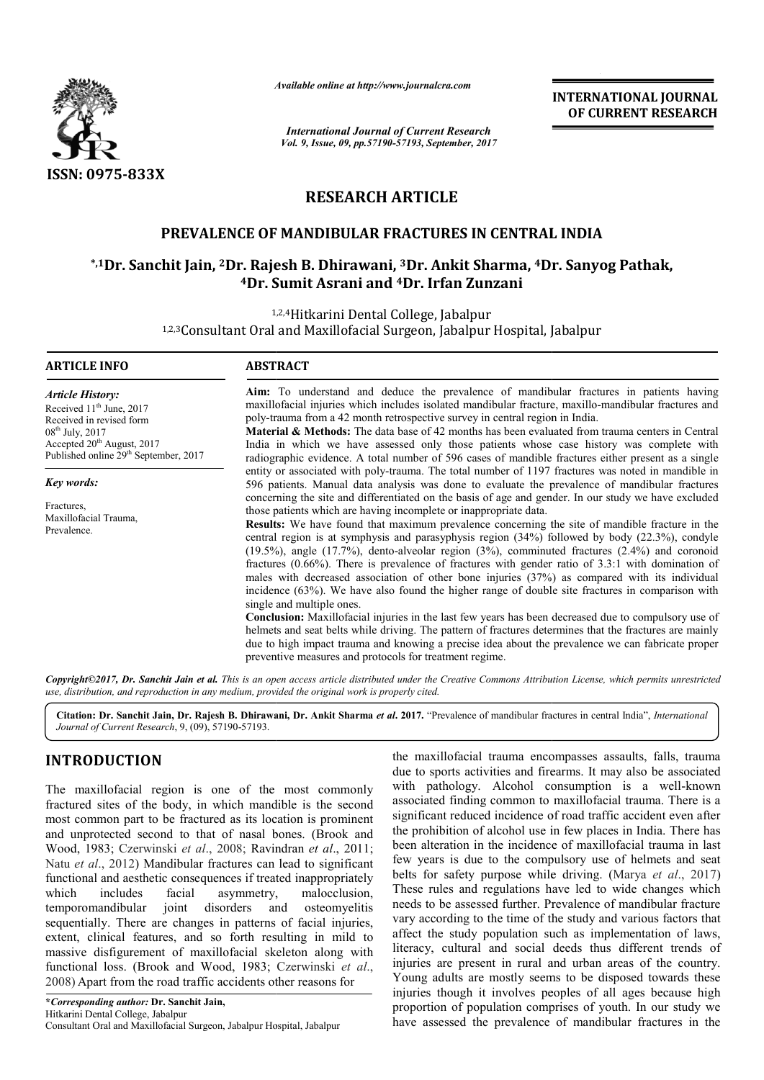

*Available online at http://www.journal http://www.journalcra.com*

# **RESEARCH ARTICLE**

## **PREVALENCE OF MANDIBULAR FRACTURES IN CENTRAL INDIA PREVALENCE MANDIBULAR FRACTURES**

## \*,1Dr. Sanchit Jain, <sup>2</sup>Dr. Rajesh B. Dhirawani, <sup>3</sup>Dr. Ankit Sharma, <sup>4</sup>Dr. Sanyog Pathak, **4Dr. Sumit Asrani Dr. and 4Dr. Irfan Zunzani**

|                                                                                                                                                                                                                                                                                                                                                                                                                                                                                                                                                                                                                                                                                                                                                                                                                                                                                                                                                                        | unuvic vinine ui nup://www.jvurnuicru.com                                                                                                                                                                                                                                                                                                                                                                                                                                                                                                                                              | <b>International Journal of Current Research</b>                                                                                                                                                                                                                                                                                                                                                                                                                                                                                                                                                                                                                                                                                                                                                                                                                                                                                                                                                                                                                   | <b>INTERNATIONAL JOURNAL</b><br>OF CURRENT RESEARCH |  |
|------------------------------------------------------------------------------------------------------------------------------------------------------------------------------------------------------------------------------------------------------------------------------------------------------------------------------------------------------------------------------------------------------------------------------------------------------------------------------------------------------------------------------------------------------------------------------------------------------------------------------------------------------------------------------------------------------------------------------------------------------------------------------------------------------------------------------------------------------------------------------------------------------------------------------------------------------------------------|----------------------------------------------------------------------------------------------------------------------------------------------------------------------------------------------------------------------------------------------------------------------------------------------------------------------------------------------------------------------------------------------------------------------------------------------------------------------------------------------------------------------------------------------------------------------------------------|--------------------------------------------------------------------------------------------------------------------------------------------------------------------------------------------------------------------------------------------------------------------------------------------------------------------------------------------------------------------------------------------------------------------------------------------------------------------------------------------------------------------------------------------------------------------------------------------------------------------------------------------------------------------------------------------------------------------------------------------------------------------------------------------------------------------------------------------------------------------------------------------------------------------------------------------------------------------------------------------------------------------------------------------------------------------|-----------------------------------------------------|--|
|                                                                                                                                                                                                                                                                                                                                                                                                                                                                                                                                                                                                                                                                                                                                                                                                                                                                                                                                                                        |                                                                                                                                                                                                                                                                                                                                                                                                                                                                                                                                                                                        | Vol. 9, Issue, 09, pp.57190-57193, September, 2017                                                                                                                                                                                                                                                                                                                                                                                                                                                                                                                                                                                                                                                                                                                                                                                                                                                                                                                                                                                                                 |                                                     |  |
| ISSN: 0975-833X                                                                                                                                                                                                                                                                                                                                                                                                                                                                                                                                                                                                                                                                                                                                                                                                                                                                                                                                                        |                                                                                                                                                                                                                                                                                                                                                                                                                                                                                                                                                                                        |                                                                                                                                                                                                                                                                                                                                                                                                                                                                                                                                                                                                                                                                                                                                                                                                                                                                                                                                                                                                                                                                    |                                                     |  |
|                                                                                                                                                                                                                                                                                                                                                                                                                                                                                                                                                                                                                                                                                                                                                                                                                                                                                                                                                                        | <b>RESEARCH ARTICLE</b>                                                                                                                                                                                                                                                                                                                                                                                                                                                                                                                                                                |                                                                                                                                                                                                                                                                                                                                                                                                                                                                                                                                                                                                                                                                                                                                                                                                                                                                                                                                                                                                                                                                    |                                                     |  |
|                                                                                                                                                                                                                                                                                                                                                                                                                                                                                                                                                                                                                                                                                                                                                                                                                                                                                                                                                                        |                                                                                                                                                                                                                                                                                                                                                                                                                                                                                                                                                                                        | PREVALENCE OF MANDIBULAR FRACTURES IN CENTRAL INDIA                                                                                                                                                                                                                                                                                                                                                                                                                                                                                                                                                                                                                                                                                                                                                                                                                                                                                                                                                                                                                |                                                     |  |
|                                                                                                                                                                                                                                                                                                                                                                                                                                                                                                                                                                                                                                                                                                                                                                                                                                                                                                                                                                        | <sup>4</sup> Dr. Sumit Asrani and <sup>4</sup> Dr. Irfan Zunzani                                                                                                                                                                                                                                                                                                                                                                                                                                                                                                                       | <sup>*,1</sup> Dr. Sanchit Jain, <sup>2</sup> Dr. Rajesh B. Dhirawani, <sup>3</sup> Dr. Ankit Sharma, <sup>4</sup> Dr. Sanyog Pathak,                                                                                                                                                                                                                                                                                                                                                                                                                                                                                                                                                                                                                                                                                                                                                                                                                                                                                                                              |                                                     |  |
|                                                                                                                                                                                                                                                                                                                                                                                                                                                                                                                                                                                                                                                                                                                                                                                                                                                                                                                                                                        | 1,2,4 Hitkarini Dental College, Jabalpur                                                                                                                                                                                                                                                                                                                                                                                                                                                                                                                                               | 1,2,3 Consultant Oral and Maxillofacial Surgeon, Jabalpur Hospital, Jabalpur                                                                                                                                                                                                                                                                                                                                                                                                                                                                                                                                                                                                                                                                                                                                                                                                                                                                                                                                                                                       |                                                     |  |
| <b>ARTICLE INFO</b>                                                                                                                                                                                                                                                                                                                                                                                                                                                                                                                                                                                                                                                                                                                                                                                                                                                                                                                                                    | <b>ABSTRACT</b>                                                                                                                                                                                                                                                                                                                                                                                                                                                                                                                                                                        |                                                                                                                                                                                                                                                                                                                                                                                                                                                                                                                                                                                                                                                                                                                                                                                                                                                                                                                                                                                                                                                                    |                                                     |  |
| <b>Article History:</b><br>Received 11 <sup>th</sup> June, 2017<br>Received in revised form<br>08 <sup>th</sup> July, 2017<br>Accepted 20 <sup>th</sup> August, 2017<br>Published online 29 <sup>th</sup> September, 2017                                                                                                                                                                                                                                                                                                                                                                                                                                                                                                                                                                                                                                                                                                                                              | Aim: To understand and deduce the prevalence of mandibular fractures in patients having<br>maxillofacial injuries which includes isolated mandibular fracture, maxillo-mandibular fractures and<br>poly-trauma from a 42 month retrospective survey in central region in India.<br>Material & Methods: The data base of 42 months has been evaluated from trauma centers in Central<br>India in which we have assessed only those patients whose case history was complete with<br>radiographic evidence. A total number of 596 cases of mandible fractures either present as a single |                                                                                                                                                                                                                                                                                                                                                                                                                                                                                                                                                                                                                                                                                                                                                                                                                                                                                                                                                                                                                                                                    |                                                     |  |
| <b>Key words:</b><br>Fractures,<br>Maxillofacial Trauma,<br>Prevalence.                                                                                                                                                                                                                                                                                                                                                                                                                                                                                                                                                                                                                                                                                                                                                                                                                                                                                                | entity or associated with poly-trauma. The total number of 1197 fractures was noted in mandible in<br>596 patients. Manual data analysis was done to evaluate the prevalence of mandibular fractures<br>concerning the site and differentiated on the basis of age and gender. In our study we have excluded<br>those patients which are having incomplete or inappropriate data.<br>Results: We have found that maximum prevalence concerning the site of mandible fracture in the<br>central region is at symphysis and parasyphysis region (34%) followed by body (22.3%), condyle  |                                                                                                                                                                                                                                                                                                                                                                                                                                                                                                                                                                                                                                                                                                                                                                                                                                                                                                                                                                                                                                                                    |                                                     |  |
|                                                                                                                                                                                                                                                                                                                                                                                                                                                                                                                                                                                                                                                                                                                                                                                                                                                                                                                                                                        | single and multiple ones.<br>preventive measures and protocols for treatment regime.                                                                                                                                                                                                                                                                                                                                                                                                                                                                                                   | $(19.5%)$ , angle $(17.7%)$ , dento-alveolar region $(3%)$ , comminuted fractures $(2.4%)$ and coronoid<br>fractures $(0.66\%)$ . There is prevalence of fractures with gender ratio of 3.3:1 with domination of<br>males with decreased association of other bone injuries (37%) as compared with its individual<br>incidence (63%). We have also found the higher range of double site fractures in comparison with<br>Conclusion: Maxillofacial injuries in the last few years has been decreased due to compulsory use of<br>helmets and seat belts while driving. The pattern of fractures determines that the fractures are mainly<br>due to high impact trauma and knowing a precise idea about the prevalence we can fabricate proper                                                                                                                                                                                                                                                                                                                      |                                                     |  |
| use, distribution, and reproduction in any medium, provided the original work is properly cited.                                                                                                                                                                                                                                                                                                                                                                                                                                                                                                                                                                                                                                                                                                                                                                                                                                                                       |                                                                                                                                                                                                                                                                                                                                                                                                                                                                                                                                                                                        | Copyright©2017, Dr. Sanchit Jain et al. This is an open access article distributed under the Creative Commons Attribution License, which permits unrestricted                                                                                                                                                                                                                                                                                                                                                                                                                                                                                                                                                                                                                                                                                                                                                                                                                                                                                                      |                                                     |  |
| Journal of Current Research, 9, (09), 57190-57193.                                                                                                                                                                                                                                                                                                                                                                                                                                                                                                                                                                                                                                                                                                                                                                                                                                                                                                                     |                                                                                                                                                                                                                                                                                                                                                                                                                                                                                                                                                                                        | Citation: Dr. Sanchit Jain, Dr. Rajesh B. Dhirawani, Dr. Ankit Sharma et al. 2017. "Prevalence of mandibular fractures in central India", International                                                                                                                                                                                                                                                                                                                                                                                                                                                                                                                                                                                                                                                                                                                                                                                                                                                                                                            |                                                     |  |
| <b>INTRODUCTION</b>                                                                                                                                                                                                                                                                                                                                                                                                                                                                                                                                                                                                                                                                                                                                                                                                                                                                                                                                                    |                                                                                                                                                                                                                                                                                                                                                                                                                                                                                                                                                                                        | the maxillofacial trauma encompasses assaults, falls, trauma<br>due to sports activities and firearms. It may also be associated                                                                                                                                                                                                                                                                                                                                                                                                                                                                                                                                                                                                                                                                                                                                                                                                                                                                                                                                   |                                                     |  |
| The maxillofacial region is one of the most commonly<br>fractured sites of the body, in which mandible is the second<br>most common part to be fractured as its location is prominent<br>and unprotected second to that of nasal bones. (Brook and<br>Wood, 1983; Czerwinski et al., 2008; Ravindran et al., 2011;<br>Natu et al., 2012) Mandibular fractures can lead to significant<br>functional and aesthetic consequences if treated inappropriately<br>includes<br>facial<br>malocclusion,<br>which<br>asymmetry,<br>temporomandibular<br>joint<br>disorders<br>osteomyelitis<br>and<br>sequentially. There are changes in patterns of facial injuries,<br>extent, clinical features, and so forth resulting in mild to<br>massive disfigurement of maxillofacial skeleton along with<br>functional loss. (Brook and Wood, 1983; Czerwinski et al.,<br>2008) Apart from the road traffic accidents other reasons for<br>*Corresponding author: Dr. Sanchit Jain, |                                                                                                                                                                                                                                                                                                                                                                                                                                                                                                                                                                                        | with pathology. Alcohol consumption is a well-known<br>associated finding common to maxillofacial trauma. There is a<br>significant reduced incidence of road traffic accident even after<br>the prohibition of alcohol use in few places in India. There has<br>been alteration in the incidence of maxillofacial trauma in last<br>few years is due to the compulsory use of helmets and seat<br>belts for safety purpose while driving. (Marya et al., 2017)<br>These rules and regulations have led to wide changes which<br>needs to be assessed further. Prevalence of mandibular fracture<br>vary according to the time of the study and various factors that<br>affect the study population such as implementation of laws,<br>literacy, cultural and social deeds thus different trends of<br>injuries are present in rural and urban areas of the country.<br>Young adults are mostly seems to be disposed towards these<br>injuries though it involves peoples of all ages because high<br>proportion of population comprises of youth. In our study we |                                                     |  |
| Hitkarini Dental College, Jabalpur<br>Consultant Oral and Maxillofacial Surgeon, Jabalpur Hospital, Jabalpur                                                                                                                                                                                                                                                                                                                                                                                                                                                                                                                                                                                                                                                                                                                                                                                                                                                           |                                                                                                                                                                                                                                                                                                                                                                                                                                                                                                                                                                                        | have assessed the prevalence of mandibular fractures in the                                                                                                                                                                                                                                                                                                                                                                                                                                                                                                                                                                                                                                                                                                                                                                                                                                                                                                                                                                                                        |                                                     |  |

### **INTRODUCTION**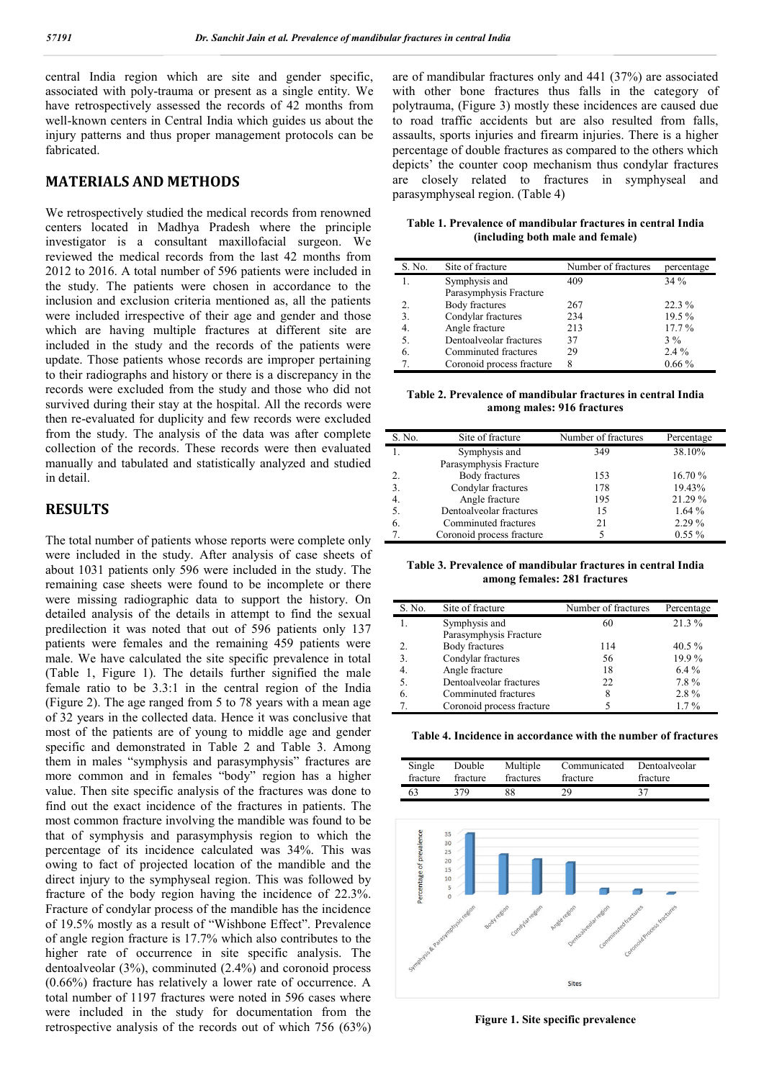central India region which are site and gender specific, associated with poly-trauma or present as a single entity. We have retrospectively assessed the records of 42 months from well-known centers in Central India which guides us about the injury patterns and thus proper management protocols can be fabricated.

### **MATERIALS AND METHODS**

We retrospectively studied the medical records from renowned centers located in Madhya Pradesh where the principle investigator is a consultant maxillofacial surgeon. We reviewed the medical records from the last 42 months from 2012 to 2016. A total number of 596 patients were included in the study. The patients were chosen in accordance to the inclusion and exclusion criteria mentioned as, all the patients were included irrespective of their age and gender and those which are having multiple fractures at different site are included in the study and the records of the patients were update. Those patients whose records are improper pertaining to their radiographs and history or there is a discrepancy in the records were excluded from the study and those who did not survived during their stay at the hospital. All the records were then re-evaluated for duplicity and few records were excluded from the study. The analysis of the data was after complete collection of the records. These records were then evaluated manually and tabulated and statistically analyzed and studied in detail.

### **RESULTS**

The total number of patients whose reports were complete only were included in the study. After analysis of case sheets of about 1031 patients only 596 were included in the study. The remaining case sheets were found to be incomplete or there were missing radiographic data to support the history. On detailed analysis of the details in attempt to find the sexual predilection it was noted that out of 596 patients only 137 patients were females and the remaining 459 patients were male. We have calculated the site specific prevalence in total (Table 1, Figure 1). The details further signified the male female ratio to be 3.3:1 in the central region of the India (Figure 2). The age ranged from 5 to 78 years with a mean age of 32 years in the collected data. Hence it was conclusive that most of the patients are of young to middle age and gender specific and demonstrated in Table 2 and Table 3. Among them in males "symphysis and parasymphysis" fractures are more common and in females "body" region has a higher value. Then site specific analysis of the fractures was done to find out the exact incidence of the fractures in patients. The most common fracture involving the mandible was found to be that of symphysis and parasymphysis region to which the percentage of its incidence calculated was 34%. This was owing to fact of projected location of the mandible and the direct injury to the symphyseal region. This was followed by fracture of the body region having the incidence of 22.3%. Fracture of condylar process of the mandible has the incidence of 19.5% mostly as a result of "Wishbone Effect". Prevalence of angle region fracture is 17.7% which also contributes to the higher rate of occurrence in site specific analysis. The dentoalveolar (3%), comminuted (2.4%) and coronoid process (0.66%) fracture has relatively a lower rate of occurrence. A total number of 1197 fractures were noted in 596 cases where were included in the study for documentation from the retrospective analysis of the records out of which 756 (63%) are of mandibular fractures only and 441 (37%) are associated with other bone fractures thus falls in the category of polytrauma, (Figure 3) mostly these incidences are caused due to road traffic accidents but are also resulted from falls, assaults, sports injuries and firearm injuries. There is a higher percentage of double fractures as compared to the others which depicts' the counter coop mechanism thus condylar fractures are closely related to fractures in symphyseal and parasymphyseal region. (Table 4)

**Table 1. Prevalence of mandibular fractures in central India (including both male and female)**

| S. No. | Site of fracture          | Number of fractures | percentage |
|--------|---------------------------|---------------------|------------|
|        | Symphysis and             | 409                 | 34%        |
|        | Parasymphysis Fracture    |                     |            |
| 2.     | Body fractures            | 267                 | 22.3 %     |
| 3.     | Condylar fractures        | 234                 | 19.5%      |
| 4.     | Angle fracture            | 213                 | $17.7\%$   |
| 5.     | Dentoalveolar fractures   | 37                  | $3\%$      |
| 6.     | Comminuted fractures      | 29                  | $2.4\%$    |
| 7      | Coronoid process fracture | 8                   | $0.66\%$   |

**Table 2. Prevalence of mandibular fractures in central India among males: 916 fractures**

| S. No.           | Site of fracture          | Number of fractures | Percentage |
|------------------|---------------------------|---------------------|------------|
| 1.               | Symphysis and             | 349                 | 38.10%     |
|                  | Parasymphysis Fracture    |                     |            |
| 2.               | <b>Body fractures</b>     | 153                 | 16.70%     |
| 3.               | Condylar fractures        | 178                 | 19.43%     |
| $\overline{4}$ . | Angle fracture            | 195                 | 21.29 %    |
| 5                | Dentoalveolar fractures   | 15                  | 1.64%      |
| 6.               | Comminuted fractures      | 21                  | 2.29%      |
|                  | Coronoid process fracture |                     | $0.55\%$   |

**Table 3. Prevalence of mandibular fractures in central India among females: 281 fractures**

| S. No. | Site of fracture          | Number of fractures | Percentage |
|--------|---------------------------|---------------------|------------|
|        | Symphysis and             | 60                  | 21.3%      |
|        | Parasymphysis Fracture    |                     |            |
| 2.     | Body fractures            | 114                 | 40.5%      |
| 3      | Condylar fractures        | 56                  | 19.9%      |
| 4.     | Angle fracture            | 18                  | $6.4\%$    |
| 5.     | Dentoalveolar fractures   | 22                  | 7.8%       |
| 6      | Comminuted fractures      | 8                   | 2.8%       |
|        | Coronoid process fracture |                     | $1.7\%$    |

**Table 4. Incidence in accordance with the number of fractures**

| Single   | Double   | Multiple  | Communicated | Dentoalveolar |
|----------|----------|-----------|--------------|---------------|
| fracture | fracture | fractures | fracture     | fracture      |
| 63       | 379      | 88        | 29           | 37            |



**Figure 1. Site specific prevalence**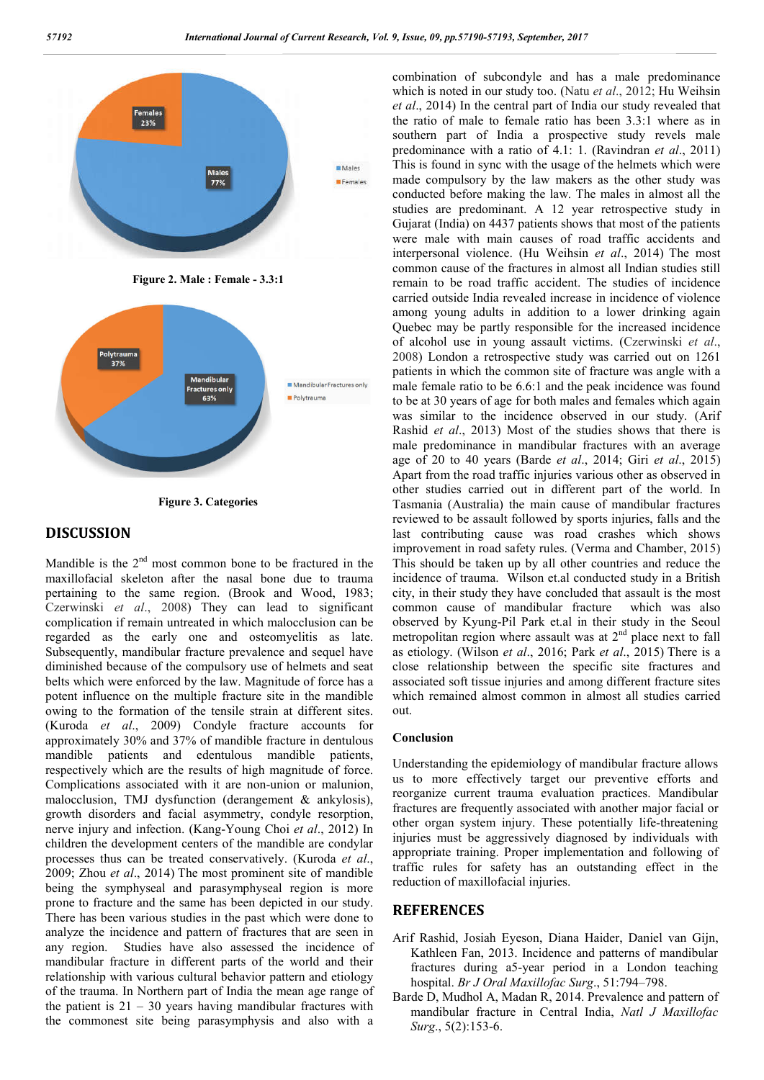

**Figure 2. Male : Female - 3.3:1**





#### **DISCUSSION**

Mandible is the  $2<sup>nd</sup>$  most common bone to be fractured in the maxillofacial skeleton after the nasal bone due to trauma pertaining to the same region. (Brook and Wood, 1983; Czerwinski *et al*., 2008) They can lead to significant complication if remain untreated in which malocclusion can be regarded as the early one and osteomyelitis as late. Subsequently, mandibular fracture prevalence and sequel have diminished because of the compulsory use of helmets and seat belts which were enforced by the law. Magnitude of force has a potent influence on the multiple fracture site in the mandible owing to the formation of the tensile strain at different sites. (Kuroda *et al*., 2009) Condyle fracture accounts for approximately 30% and 37% of mandible fracture in dentulous mandible patients and edentulous mandible patients, respectively which are the results of high magnitude of force. Complications associated with it are non-union or malunion, malocclusion, TMJ dysfunction (derangement & ankylosis), growth disorders and facial asymmetry, condyle resorption, nerve injury and infection. (Kang-Young Choi *et al*., 2012) In children the development centers of the mandible are condylar processes thus can be treated conservatively. (Kuroda *et al*., 2009; Zhou *et al*., 2014) The most prominent site of mandible being the symphyseal and parasymphyseal region is more prone to fracture and the same has been depicted in our study. There has been various studies in the past which were done to analyze the incidence and pattern of fractures that are seen in any region. Studies have also assessed the incidence of mandibular fracture in different parts of the world and their relationship with various cultural behavior pattern and etiology of the trauma. In Northern part of India the mean age range of the patient is  $21 - 30$  years having mandibular fractures with the commonest site being parasymphysis and also with a

combination of subcondyle and has a male predominance which is noted in our study too. (Natu *et al*., 2012; Hu Weihsin *et al*., 2014) In the central part of India our study revealed that the ratio of male to female ratio has been 3.3:1 where as in southern part of India a prospective study revels male predominance with a ratio of 4.1: 1. (Ravindran *et al*., 2011) This is found in sync with the usage of the helmets which were made compulsory by the law makers as the other study was conducted before making the law. The males in almost all the studies are predominant. A 12 year retrospective study in Gujarat (India) on 4437 patients shows that most of the patients were male with main causes of road traffic accidents and interpersonal violence. (Hu Weihsin *et al*., 2014) The most common cause of the fractures in almost all Indian studies still remain to be road traffic accident. The studies of incidence carried outside India revealed increase in incidence of violence among young adults in addition to a lower drinking again Quebec may be partly responsible for the increased incidence of alcohol use in young assault victims. (Czerwinski *et al*., 2008) London a retrospective study was carried out on 1261 patients in which the common site of fracture was angle with a male female ratio to be 6.6:1 and the peak incidence was found to be at 30 years of age for both males and females which again was similar to the incidence observed in our study. (Arif Rashid *et al*., 2013) Most of the studies shows that there is male predominance in mandibular fractures with an average age of 20 to 40 years (Barde *et al*., 2014; Giri *et al*., 2015) Apart from the road traffic injuries various other as observed in other studies carried out in different part of the world. In Tasmania (Australia) the main cause of mandibular fractures reviewed to be assault followed by sports injuries, falls and the last contributing cause was road crashes which shows improvement in road safety rules. (Verma and Chamber, 2015) This should be taken up by all other countries and reduce the incidence of trauma. Wilson et.al conducted study in a British city, in their study they have concluded that assault is the most common cause of mandibular fracture which was also observed by Kyung-Pil Park et.al in their study in the Seoul metropolitan region where assault was at  $2<sup>nd</sup>$  place next to fall as etiology. (Wilson *et al*., 2016; Park *et al*., 2015) There is a close relationship between the specific site fractures and associated soft tissue injuries and among different fracture sites which remained almost common in almost all studies carried out.

#### **Conclusion**

Understanding the epidemiology of mandibular fracture allows us to more effectively target our preventive efforts and reorganize current trauma evaluation practices. Mandibular fractures are frequently associated with another major facial or other organ system injury. These potentially life-threatening injuries must be aggressively diagnosed by individuals with appropriate training. Proper implementation and following of traffic rules for safety has an outstanding effect in the reduction of maxillofacial injuries.

#### **REFERENCES**

- Arif Rashid, Josiah Eyeson, Diana Haider, Daniel van Gijn, Kathleen Fan, 2013. Incidence and patterns of mandibular fractures during a5-year period in a London teaching hospital. *Br J Oral Maxillofac Surg*., 51:794–798.
- Barde D, Mudhol A, Madan R, 2014. Prevalence and pattern of mandibular fracture in Central India, *Natl J Maxillofac Surg*., 5(2):153-6.